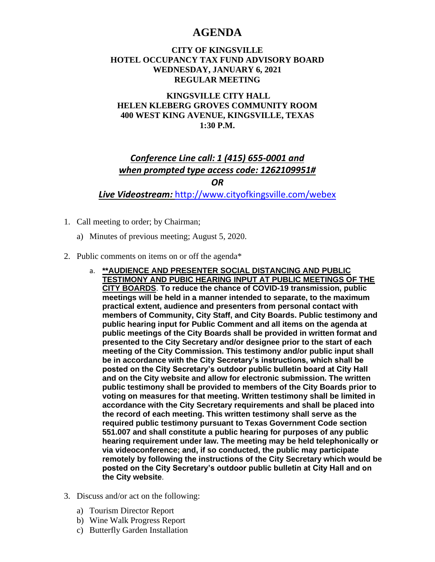# **AGENDA**

### **CITY OF KINGSVILLE HOTEL OCCUPANCY TAX FUND ADVISORY BOARD WEDNESDAY, JANUARY 6, 2021 REGULAR MEETING**

### **KINGSVILLE CITY HALL HELEN KLEBERG GROVES COMMUNITY ROOM 400 WEST KING AVENUE, KINGSVILLE, TEXAS 1:30 P.M.**

# *Conference Line call: 1 (415) 655-0001 and when prompted type access code: 1262109951# OR*

*Live Videostream:* <http://www.cityofkingsville.com/webex>

- 1. Call meeting to order; by Chairman;
	- a) Minutes of previous meeting; August 5, 2020.
- 2. Public comments on items on or off the agenda\*
	- a. **\*\*AUDIENCE AND PRESENTER SOCIAL DISTANCING AND PUBLIC TESTIMONY AND PUBIC HEARING INPUT AT PUBLIC MEETINGS OF THE CITY BOARDS**. **To reduce the chance of COVID-19 transmission, public meetings will be held in a manner intended to separate, to the maximum practical extent, audience and presenters from personal contact with members of Community, City Staff, and City Boards. Public testimony and public hearing input for Public Comment and all items on the agenda at public meetings of the City Boards shall be provided in written format and presented to the City Secretary and/or designee prior to the start of each meeting of the City Commission. This testimony and/or public input shall be in accordance with the City Secretary's instructions, which shall be posted on the City Secretary's outdoor public bulletin board at City Hall and on the City website and allow for electronic submission. The written public testimony shall be provided to members of the City Boards prior to voting on measures for that meeting. Written testimony shall be limited in accordance with the City Secretary requirements and shall be placed into the record of each meeting. This written testimony shall serve as the required public testimony pursuant to Texas Government Code section 551.007 and shall constitute a public hearing for purposes of any public hearing requirement under law. The meeting may be held telephonically or via videoconference; and, if so conducted, the public may participate remotely by following the instructions of the City Secretary which would be posted on the City Secretary's outdoor public bulletin at City Hall and on the City website**.
- 3. Discuss and/or act on the following:
	- a) Tourism Director Report
	- b) Wine Walk Progress Report
	- c) Butterfly Garden Installation